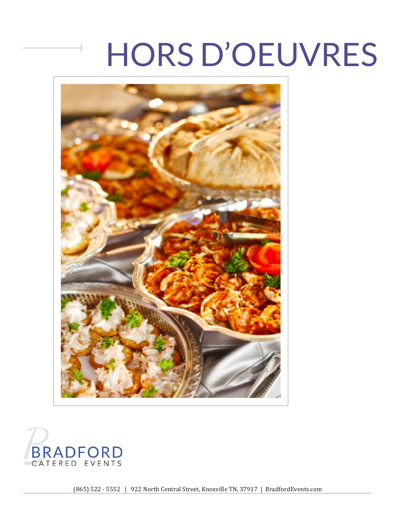



(865) 522 - 5552 | 922 North Central Street, Knoxville TN, 37917 | BradfordEvents.com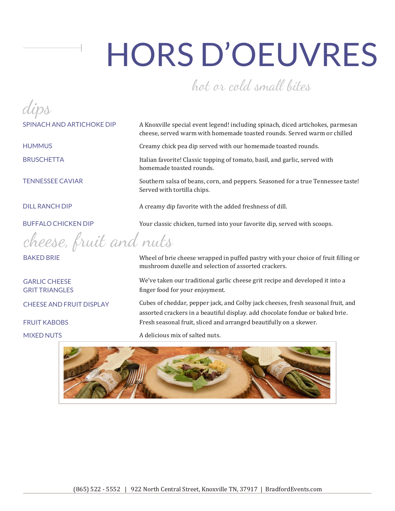#### hot ar cold small bites

dips

cheese, fruit and nuts

SPINACH AND ARTICHOKE DIP A Knoxville special event legend! including spinach, diced artichokes, parmesan cheese, served warm with homemade toasted rounds. Served warm or chilled

HUMMUS Creamy chick pea dip served with our homemade toasted rounds.

BRUSCHETTA Italian favorite! Classic topping of tomato, basil, and garlic, served with homemade toasted rounds.

TENNESSEE CAVIAR Southern salsa of beans, corn, and peppers. Seasoned for a true Tennessee taste! Served with tortilla chips.

DILL RANCH DIP A creamy dip favorite with the added freshness of dill.

BUFFALO CHICKEN DIP Your classic chicken, turned into your favorite dip, served with scoops.

BAKED BRIE **EXECUTE:** Wheel of brie cheese wrapped in puffed pastry with your choice of fruit filling or mushroom duxelle and selection of assorted crackers.

GARLIC CHEESE We've taken our traditional garlic cheese grit recipe and developed it into a GRIT TRIANGLES finger food for your enjoyment.

CHEESE AND FRUIT DISPLAY Cubes of cheddar, pepper jack, and Colby jack cheeses, fresh seasonal fruit, and assorted crackers in a beautiful display. add chocolate fondue or baked brie. FRUIT KABOBS Fresh seasonal fruit, sliced and arranged beautifully on a skewer.

MIXED NUTS **A** delicious mix of salted nuts.

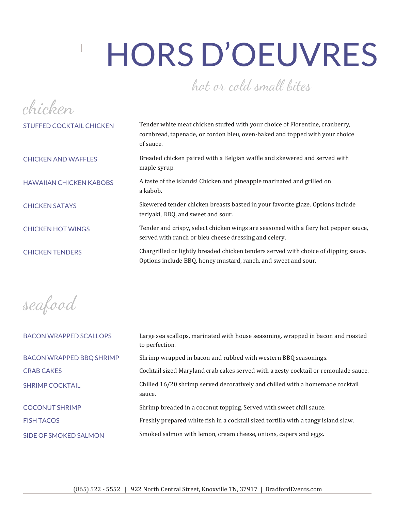### hot ar cold small bites

| Tender white meat chicken stuffed with your choice of Florentine, cranberry,<br>cornbread, tapenade, or cordon bleu, oven-baked and topped with your choice<br>of sauce. |
|--------------------------------------------------------------------------------------------------------------------------------------------------------------------------|
| Breaded chicken paired with a Belgian waffle and skewered and served with<br>maple syrup.                                                                                |
| A taste of the islands! Chicken and pineapple marinated and grilled on<br>a kabob.                                                                                       |
| Skewered tender chicken breasts basted in your favorite glaze. Options include<br>teriyaki, BBQ, and sweet and sour.                                                     |
| Tender and crispy, select chicken wings are seasoned with a fiery hot pepper sauce,<br>served with ranch or bleu cheese dressing and celery.                             |
| Chargrilled or lightly breaded chicken tenders served with choice of dipping sauce.<br>Options include BBQ, honey mustard, ranch, and sweet and sour.                    |
|                                                                                                                                                                          |

seafood

| <b>BACON WRAPPED SCALLOPS</b>   | Large sea scallops, marinated with house seasoning, wrapped in bacon and roasted<br>to perfection. |
|---------------------------------|----------------------------------------------------------------------------------------------------|
| <b>BACON WRAPPED BBQ SHRIMP</b> | Shrimp wrapped in bacon and rubbed with western BBQ seasonings.                                    |
| <b>CRAB CAKES</b>               | Cocktail sized Maryland crab cakes served with a zesty cocktail or remoulade sauce.                |
| <b>SHRIMP COCKTAIL</b>          | Chilled 16/20 shrimp served decoratively and chilled with a homemade cocktail<br>sauce.            |
| <b>COCONUT SHRIMP</b>           | Shrimp breaded in a coconut topping. Served with sweet chili sauce.                                |
| <b>FISH TACOS</b>               | Freshly prepared white fish in a cocktail sized tortilla with a tangy island slaw.                 |
| SIDE OF SMOKED SALMON           | Smoked salmon with lemon, cream cheese, onions, capers and eggs.                                   |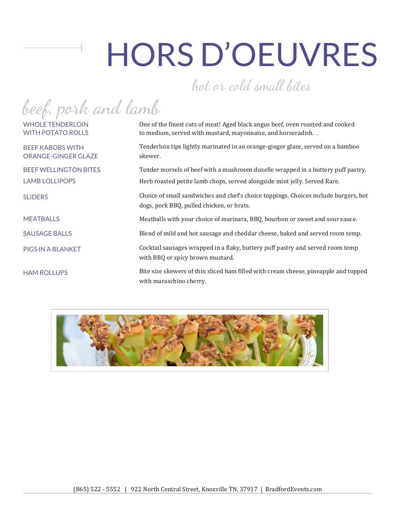#### hat ar cold small bites

beef, park and lamb

ORANGE-GINGER GLAZE skewer.

WHOLE TENDERLOIN **One of the finest cuts of meat! Aged black angus beef, oven roasted and cooked** WITH POTATO ROLLS to medium, served with mustard, mayonnaise, and horseradish. .

BEEF KABOBS WITH Tenderloin tips lightly marinated in an orange-ginger glaze, served on a bamboo

BEEF WELLINGTON BITES Tender morsels of beef with a mushroom duxelle wrapped in a buttery puff pastry. LAMB LOLLIPOPS Herb roasted petite lamb chops, served alongside mint jelly. Served Rare.

SLIDERS Choice of small sandwiches and chef's choice toppings. Choices include burgers, hot dogs, pork BBQ, pulled chicken, or brats.

MEATBALLS Meatballs with your choice of marinara, BBQ, bourbon or sweet and sour sauce.

SAUSAGE BALLS Blend of mild and hot sausage and cheddar cheese, baked and served room temp.

PIGS IN A BLANKET Cocktail sausages wrapped in a flaky, buttery puff pastry and served room temp with BBQ or spicy brown mustard.

HAM ROLLUPS Bite size skewers of thin sliced ham filled with cream cheese, pineapple and topped with maraschino cherry.

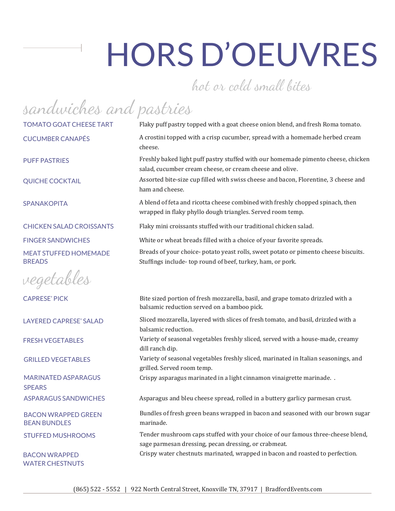#### hot ar cold small bites

sandwiches and pastries

vegetables

**SPEARS** 

BEAN BUNDLES marinade.

WATER CHESTNUTS

TOMATO GOAT CHEESE TART Flaky puff pastry topped with a goat cheese onion blend, and fresh Roma tomato. CUCUMBER CANAPÉS A crostini topped with a crisp cucumber, spread with a homemade herbed cream cheese.

PUFF PASTRIFS Freshly baked light puff pastry stuffed with our homemade pimento cheese, chicken salad, cucumber cream cheese, or cream cheese and olive.

QUICHE COCKTAIL Assorted bite-size cup filled with swiss cheese and bacon, Florentine, 3 cheese and ham and cheese.

SPANAKOPITA **A blend of feta and ricotta cheese combined with freshly chopped spinach, then** wrapped in flaky phyllo dough triangles. Served room temp.

CHICKEN SALAD CROISSANTS Flaky mini croissants stuffed with our traditional chicken salad.

FINGER SANDWICHES White or wheat breads filled with a choice of your favorite spreads.

MEAT STUFFED HOMEMADE Breads of your choice- potato yeast rolls, sweet potato or pimento cheese biscuits. BREADS Stuffings include- top round of beef, turkey, ham, or pork.

CAPRESE' PICK Bite sized portion of fresh mozzarella, basil, and grape tomato drizzled with a balsamic reduction served on a bamboo pick.

LAYERED CAPRESE' SALAD Sliced mozzarella, layered with slices of fresh tomato, and basil, drizzled with a balsamic reduction.

FRESH VEGETABLES Variety of seasonal vegetables freshly sliced, served with a house-made, creamy dill ranch dip.

GRILLED VEGETABLES Variety of seasonal vegetables freshly sliced, marinated in Italian seasonings, and grilled. Served room temp.

MARINATED ASPARAGUS Crispy asparagus marinated in a light cinnamon vinaigrette marinade.

ASPARAGUS SANDWICHES Asparagus and bleu cheese spread, rolled in a buttery garlicy parmesan crust.

BACON WRAPPED GREEN Bundles of fresh green beans wrapped in bacon and seasoned with our brown sugar

STUFFED MUSHROOMS Tender mushroom caps stuffed with your choice of our famous three-cheese blend, sage parmesan dressing, pecan dressing, or crabmeat.

BACON WRAPPED Crispy water chestnuts marinated, wrapped in bacon and roasted to perfection.